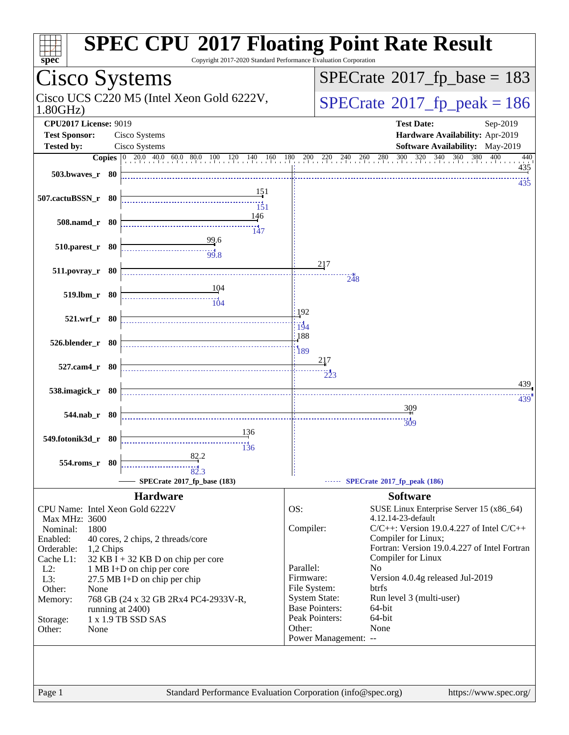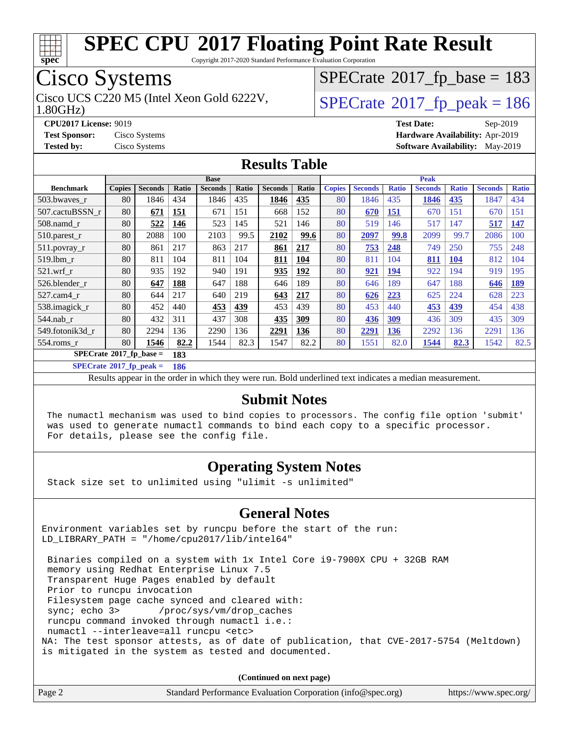

Copyright 2017-2020 Standard Performance Evaluation Corporation

## Cisco Systems

Cisco UCS C220 M5 (Intel Xeon Gold 6222V,  $\vert$ [SPECrate](http://www.spec.org/auto/cpu2017/Docs/result-fields.html#SPECrate2017fppeak)®[2017\\_fp\\_peak = 1](http://www.spec.org/auto/cpu2017/Docs/result-fields.html#SPECrate2017fppeak)86

 $SPECTate$ <sup>®</sup>[2017\\_fp\\_base =](http://www.spec.org/auto/cpu2017/Docs/result-fields.html#SPECrate2017fpbase) 183

#### 1.80GHz)

**[CPU2017 License:](http://www.spec.org/auto/cpu2017/Docs/result-fields.html#CPU2017License)** 9019 **[Test Date:](http://www.spec.org/auto/cpu2017/Docs/result-fields.html#TestDate)** Sep-2019 **[Test Sponsor:](http://www.spec.org/auto/cpu2017/Docs/result-fields.html#TestSponsor)** Cisco Systems **[Hardware Availability:](http://www.spec.org/auto/cpu2017/Docs/result-fields.html#HardwareAvailability)** Apr-2019 **[Tested by:](http://www.spec.org/auto/cpu2017/Docs/result-fields.html#Testedby)** Cisco Systems **[Software Availability:](http://www.spec.org/auto/cpu2017/Docs/result-fields.html#SoftwareAvailability)** May-2019

#### **[Results Table](http://www.spec.org/auto/cpu2017/Docs/result-fields.html#ResultsTable)**

|                            | <b>Base</b>   |                |       |                |       |                | <b>Peak</b> |               |                |              |                |              |                |              |
|----------------------------|---------------|----------------|-------|----------------|-------|----------------|-------------|---------------|----------------|--------------|----------------|--------------|----------------|--------------|
| <b>Benchmark</b>           | <b>Copies</b> | <b>Seconds</b> | Ratio | <b>Seconds</b> | Ratio | <b>Seconds</b> | Ratio       | <b>Copies</b> | <b>Seconds</b> | <b>Ratio</b> | <b>Seconds</b> | <b>Ratio</b> | <b>Seconds</b> | <b>Ratio</b> |
| 503.bwayes_r               | 80            | 1846           | 434   | 1846           | 435   | 1846           | 435         | 80            | 1846           | 435          | 1846           | 435          | 1847           | 434          |
| 507.cactuBSSN r            | 80            | 671            | 151   | 671            | 151   | 668            | 152         | 80            | 670            | <b>151</b>   | 670            | 151          | 670            | 151          |
| $508$ .namd $r$            | 80            | 522            | 146   | 523            | 145   | 521            | 146         | 80            | 519            | 146          | 517            | 147          | 517            | 147          |
| $510.parest_r$             | 80            | 2088           | 100   | 2103           | 99.5  | 2102           | 99.6        | 80            | 2097           | 99.8         | 2099           | 99.7         | 2086           | 100          |
| 511.povray_r               | 80            | 861            | 217   | 863            | 217   | 861            | 217         | 80            | 753            | 248          | 749            | 250          | 755            | 248          |
| 519.lbm r                  | 80            | 811            | 104   | 811            | 104   | 811            | 104         | 80            | 811            | 104          | 811            | 104          | 812            | 104          |
| $521$ .wrf r               | 80            | 935            | 192   | 940            | 191   | 935            | 192         | 80            | 921            | <u>194</u>   | 922            | 194          | 919            | 195          |
| 526.blender r              | 80            | 647            | 188   | 647            | 188   | 646            | 189         | 80            | 646            | 189          | 647            | 188          | 646            | 189          |
| 527.cam4 r                 | 80            | 644            | 217   | 640            | 219   | 643            | 217         | 80            | 626            | 223          | 625            | 224          | 628            | 223          |
| 538.imagick_r              | 80            | 452            | 440   | 453            | 439   | 453            | 439         | 80            | 453            | 440          | 453            | 439          | 454            | 438          |
| 544.nab r                  | 80            | 432            | 311   | 437            | 308   | 435            | 309         | 80            | 436            | 309          | 436            | 309          | 435            | 309          |
| 549.fotonik3d r            | 80            | 2294           | 136   | 2290           | 136   | 2291           | 136         | 80            | 2291           | <b>136</b>   | 2292           | 136          | 2291           | 136          |
| 554.roms r                 | 80            | 1546           | 82.2  | 1544           | 82.3  | 1547           | 82.2        | 80            | 1551           | 82.0         | 1544           | 82.3         | 1542           | 82.5         |
| $SPECrate*2017_fp\_base =$ |               |                | 183   |                |       |                |             |               |                |              |                |              |                |              |

**[SPECrate](http://www.spec.org/auto/cpu2017/Docs/result-fields.html#SPECrate2017fppeak)[2017\\_fp\\_peak =](http://www.spec.org/auto/cpu2017/Docs/result-fields.html#SPECrate2017fppeak) 186**

Results appear in the [order in which they were run.](http://www.spec.org/auto/cpu2017/Docs/result-fields.html#RunOrder) Bold underlined text [indicates a median measurement.](http://www.spec.org/auto/cpu2017/Docs/result-fields.html#Median)

#### **[Submit Notes](http://www.spec.org/auto/cpu2017/Docs/result-fields.html#SubmitNotes)**

 The numactl mechanism was used to bind copies to processors. The config file option 'submit' was used to generate numactl commands to bind each copy to a specific processor. For details, please see the config file.

#### **[Operating System Notes](http://www.spec.org/auto/cpu2017/Docs/result-fields.html#OperatingSystemNotes)**

Stack size set to unlimited using "ulimit -s unlimited"

#### **[General Notes](http://www.spec.org/auto/cpu2017/Docs/result-fields.html#GeneralNotes)**

Environment variables set by runcpu before the start of the run: LD\_LIBRARY\_PATH = "/home/cpu2017/lib/intel64"

 Binaries compiled on a system with 1x Intel Core i9-7900X CPU + 32GB RAM memory using Redhat Enterprise Linux 7.5 Transparent Huge Pages enabled by default Prior to runcpu invocation Filesystem page cache synced and cleared with: sync; echo 3> /proc/sys/vm/drop\_caches runcpu command invoked through numactl i.e.: numactl --interleave=all runcpu <etc> NA: The test sponsor attests, as of date of publication, that CVE-2017-5754 (Meltdown) is mitigated in the system as tested and documented.

**(Continued on next page)**

| Page 2<br>Standard Performance Evaluation Corporation (info@spec.org)<br>https://www.spec.org/ |
|------------------------------------------------------------------------------------------------|
|------------------------------------------------------------------------------------------------|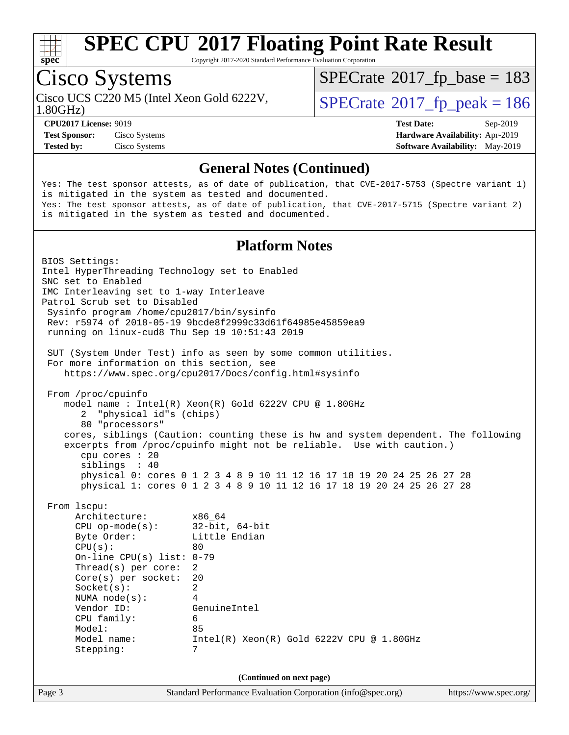

Copyright 2017-2020 Standard Performance Evaluation Corporation

## Cisco Systems

Cisco UCS C220 M5 (Intel Xeon Gold 6222V,  $\vert$  [SPECrate](http://www.spec.org/auto/cpu2017/Docs/result-fields.html#SPECrate2017fppeak)®[2017\\_fp\\_peak = 1](http://www.spec.org/auto/cpu2017/Docs/result-fields.html#SPECrate2017fppeak)86

 $SPECTate$ <sup>®</sup>[2017\\_fp\\_base =](http://www.spec.org/auto/cpu2017/Docs/result-fields.html#SPECrate2017fpbase) 183

1.80GHz)

**[Test Sponsor:](http://www.spec.org/auto/cpu2017/Docs/result-fields.html#TestSponsor)** Cisco Systems **[Hardware Availability:](http://www.spec.org/auto/cpu2017/Docs/result-fields.html#HardwareAvailability)** Apr-2019 **[Tested by:](http://www.spec.org/auto/cpu2017/Docs/result-fields.html#Testedby)** Cisco Systems **[Software Availability:](http://www.spec.org/auto/cpu2017/Docs/result-fields.html#SoftwareAvailability)** May-2019

**[CPU2017 License:](http://www.spec.org/auto/cpu2017/Docs/result-fields.html#CPU2017License)** 9019 **[Test Date:](http://www.spec.org/auto/cpu2017/Docs/result-fields.html#TestDate)** Sep-2019

#### **[General Notes \(Continued\)](http://www.spec.org/auto/cpu2017/Docs/result-fields.html#GeneralNotes)**

Yes: The test sponsor attests, as of date of publication, that CVE-2017-5753 (Spectre variant 1) is mitigated in the system as tested and documented. Yes: The test sponsor attests, as of date of publication, that CVE-2017-5715 (Spectre variant 2) is mitigated in the system as tested and documented.

#### **[Platform Notes](http://www.spec.org/auto/cpu2017/Docs/result-fields.html#PlatformNotes)**

Page 3 Standard Performance Evaluation Corporation [\(info@spec.org\)](mailto:info@spec.org) <https://www.spec.org/> BIOS Settings: Intel HyperThreading Technology set to Enabled SNC set to Enabled IMC Interleaving set to 1-way Interleave Patrol Scrub set to Disabled Sysinfo program /home/cpu2017/bin/sysinfo Rev: r5974 of 2018-05-19 9bcde8f2999c33d61f64985e45859ea9 running on linux-cud8 Thu Sep 19 10:51:43 2019 SUT (System Under Test) info as seen by some common utilities. For more information on this section, see <https://www.spec.org/cpu2017/Docs/config.html#sysinfo> From /proc/cpuinfo model name : Intel(R) Xeon(R) Gold 6222V CPU @ 1.80GHz 2 "physical id"s (chips) 80 "processors" cores, siblings (Caution: counting these is hw and system dependent. The following excerpts from /proc/cpuinfo might not be reliable. Use with caution.) cpu cores : 20 siblings : 40 physical 0: cores 0 1 2 3 4 8 9 10 11 12 16 17 18 19 20 24 25 26 27 28 physical 1: cores 0 1 2 3 4 8 9 10 11 12 16 17 18 19 20 24 25 26 27 28 From lscpu: Architecture: x86\_64 CPU op-mode(s): 32-bit, 64-bit Byte Order: Little Endian  $CPU(s):$  80 On-line CPU(s) list: 0-79 Thread(s) per core: 2 Core(s) per socket: 20 Socket(s): 2 NUMA node(s): 4 Vendor ID: GenuineIntel CPU family: 6 Model: 85 Model name: Intel(R) Xeon(R) Gold 6222V CPU @ 1.80GHz Stepping: 7 **(Continued on next page)**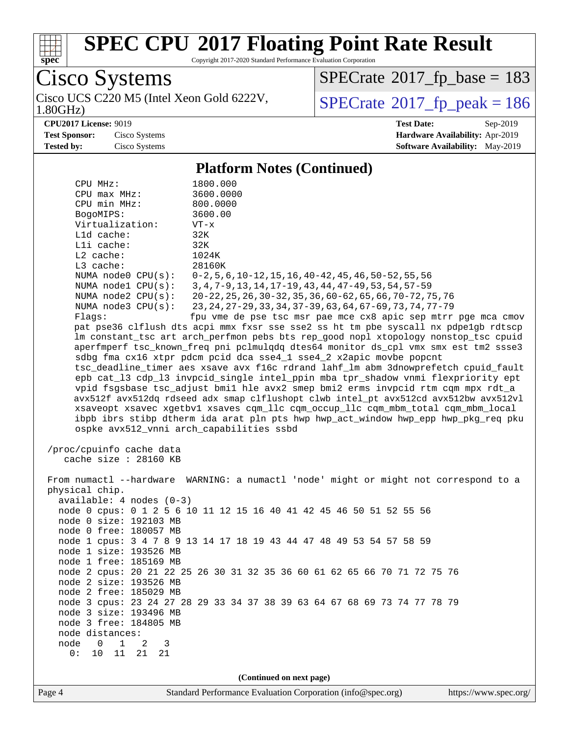

Copyright 2017-2020 Standard Performance Evaluation Corporation

Cisco Systems<br>Cisco UCS C220 M5 (Intel Xeon Gold 6222V, 1.80GHz)

 $SPECTate$ <sup>®</sup>[2017\\_fp\\_base =](http://www.spec.org/auto/cpu2017/Docs/result-fields.html#SPECrate2017fpbase) 183

 $SPECTate$ <sup>®</sup>[2017\\_fp\\_peak = 1](http://www.spec.org/auto/cpu2017/Docs/result-fields.html#SPECrate2017fppeak)86

**[CPU2017 License:](http://www.spec.org/auto/cpu2017/Docs/result-fields.html#CPU2017License)** 9019 **[Test Date:](http://www.spec.org/auto/cpu2017/Docs/result-fields.html#TestDate)** Sep-2019 **[Test Sponsor:](http://www.spec.org/auto/cpu2017/Docs/result-fields.html#TestSponsor)** Cisco Systems **[Hardware Availability:](http://www.spec.org/auto/cpu2017/Docs/result-fields.html#HardwareAvailability)** Apr-2019 **[Tested by:](http://www.spec.org/auto/cpu2017/Docs/result-fields.html#Testedby)** Cisco Systems **[Software Availability:](http://www.spec.org/auto/cpu2017/Docs/result-fields.html#SoftwareAvailability)** May-2019

#### **[Platform Notes \(Continued\)](http://www.spec.org/auto/cpu2017/Docs/result-fields.html#PlatformNotes)**

| CPU MHz:                            | 1800.000                                                                             |  |  |  |  |
|-------------------------------------|--------------------------------------------------------------------------------------|--|--|--|--|
| $CPU$ $max$ $MHz$ :                 | 3600.0000                                                                            |  |  |  |  |
| CPU min MHz:                        | 800.0000                                                                             |  |  |  |  |
| BogoMIPS:                           | 3600.00                                                                              |  |  |  |  |
| Virtualization:                     | $VT - x$                                                                             |  |  |  |  |
| L1d cache:                          | 32K                                                                                  |  |  |  |  |
| Lli cache:                          | 32K                                                                                  |  |  |  |  |
| $L2$ cache:                         | 1024K                                                                                |  |  |  |  |
| L3 cache:                           | 28160K                                                                               |  |  |  |  |
| NUMA node0 CPU(s):                  | $0-2, 5, 6, 10-12, 15, 16, 40-42, 45, 46, 50-52, 55, 56$                             |  |  |  |  |
| NUMA $node1$ $CPU(s):$              | 3, 4, 7-9, 13, 14, 17-19, 43, 44, 47-49, 53, 54, 57-59                               |  |  |  |  |
| NUMA $node2$ $CPU(s):$              | 20-22, 25, 26, 30-32, 35, 36, 60-62, 65, 66, 70-72, 75, 76                           |  |  |  |  |
| NUMA $node3$ $CPU(s):$              | 23, 24, 27-29, 33, 34, 37-39, 63, 64, 67-69, 73, 74, 77-79                           |  |  |  |  |
| Flaqs:                              | fpu vme de pse tsc msr pae mce cx8 apic sep mtrr pge mca cmov                        |  |  |  |  |
|                                     | pat pse36 clflush dts acpi mmx fxsr sse sse2 ss ht tm pbe syscall nx pdpelgb rdtscp  |  |  |  |  |
|                                     | lm constant_tsc art arch_perfmon pebs bts rep_good nopl xtopology nonstop_tsc cpuid  |  |  |  |  |
|                                     | aperfmperf tsc_known_freq pni pclmulqdq dtes64 monitor ds_cpl vmx smx est tm2 ssse3  |  |  |  |  |
|                                     | sdbg fma cx16 xtpr pdcm pcid dca sse4_1 sse4_2 x2apic movbe popcnt                   |  |  |  |  |
|                                     | tsc_deadline_timer aes xsave avx f16c rdrand lahf_lm abm 3dnowprefetch cpuid_fault   |  |  |  |  |
|                                     | epb cat_13 cdp_13 invpcid_single intel_ppin mba tpr_shadow vnmi flexpriority ept     |  |  |  |  |
|                                     | vpid fsgsbase tsc_adjust bmil hle avx2 smep bmi2 erms invpcid rtm cqm mpx rdt_a      |  |  |  |  |
|                                     | avx512f avx512dq rdseed adx smap clflushopt clwb intel_pt avx512cd avx512bw avx512vl |  |  |  |  |
|                                     | xsaveopt xsavec xgetbvl xsaves cqm_llc cqm_occup_llc cqm_mbm_total cqm_mbm_local     |  |  |  |  |
|                                     | ibpb ibrs stibp dtherm ida arat pln pts hwp hwp_act_window hwp_epp hwp_pkg_req pku   |  |  |  |  |
|                                     | ospke avx512_vnni arch_capabilities ssbd                                             |  |  |  |  |
|                                     |                                                                                      |  |  |  |  |
| /proc/cpuinfo cache data            |                                                                                      |  |  |  |  |
| cache size : 28160 KB               |                                                                                      |  |  |  |  |
|                                     | From numactl --hardware WARNING: a numactl 'node' might or might not correspond to a |  |  |  |  |
| physical chip.                      |                                                                                      |  |  |  |  |
| $available: 4 nodes (0-3)$          |                                                                                      |  |  |  |  |
|                                     | node 0 cpus: 0 1 2 5 6 10 11 12 15 16 40 41 42 45 46 50 51 52 55 56                  |  |  |  |  |
| node 0 size: 192103 MB              |                                                                                      |  |  |  |  |
| node 0 free: 180057 MB              |                                                                                      |  |  |  |  |
|                                     | node 1 cpus: 3 4 7 8 9 13 14 17 18 19 43 44 47 48 49 53 54 57 58 59                  |  |  |  |  |
| node 1 size: 193526 MB              |                                                                                      |  |  |  |  |
| node 1 free: 185169 MB              |                                                                                      |  |  |  |  |
|                                     | node 2 cpus: 20 21 22 25 26 30 31 32 35 36 60 61 62 65 66 70 71 72 75 76             |  |  |  |  |
| node 2 size: 193526 MB              |                                                                                      |  |  |  |  |
| node 2 free: 185029 MB              |                                                                                      |  |  |  |  |
|                                     | node 3 cpus: 23 24 27 28 29 33 34 37 38 39 63 64 67 68 69 73 74 77 78 79             |  |  |  |  |
| node 3 size: 193496 MB              |                                                                                      |  |  |  |  |
| node 3 free: 184805 MB              |                                                                                      |  |  |  |  |
| node distances:                     |                                                                                      |  |  |  |  |
| node<br>$\mathsf{O}$<br>1<br>2<br>3 |                                                                                      |  |  |  |  |
| 0:<br>10<br>11<br>21<br>21          |                                                                                      |  |  |  |  |
|                                     |                                                                                      |  |  |  |  |
| (Continued on next page)            |                                                                                      |  |  |  |  |
|                                     |                                                                                      |  |  |  |  |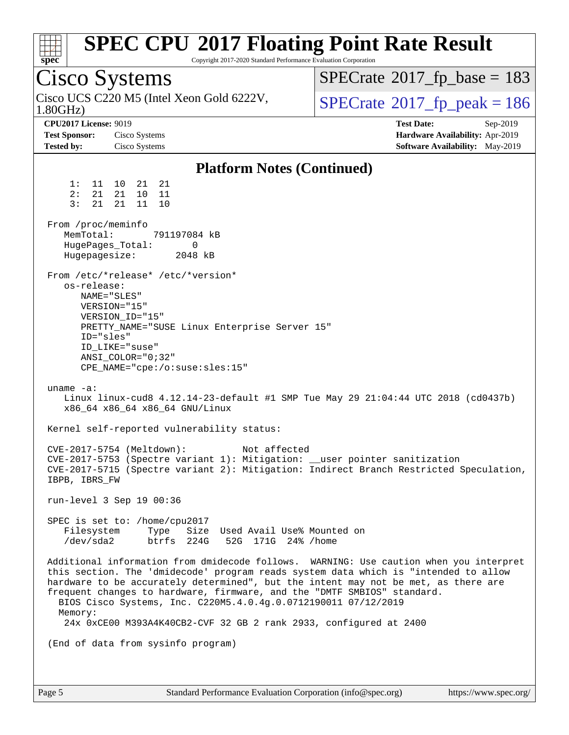| <b>SPEC CPU®2017 Floating Point Rate Result</b><br>Copyright 2017-2020 Standard Performance Evaluation Corporation<br>spec <sup>®</sup>                                                                                                                                                                                                                                                                                                                                                                                                                                                                                                                                                                                                                                                                                                                                                                                                                                                                                                                                                                                                                                                                                                                                                                                                                                                                                                                                                                                                                                                                              |                                                                                                     |
|----------------------------------------------------------------------------------------------------------------------------------------------------------------------------------------------------------------------------------------------------------------------------------------------------------------------------------------------------------------------------------------------------------------------------------------------------------------------------------------------------------------------------------------------------------------------------------------------------------------------------------------------------------------------------------------------------------------------------------------------------------------------------------------------------------------------------------------------------------------------------------------------------------------------------------------------------------------------------------------------------------------------------------------------------------------------------------------------------------------------------------------------------------------------------------------------------------------------------------------------------------------------------------------------------------------------------------------------------------------------------------------------------------------------------------------------------------------------------------------------------------------------------------------------------------------------------------------------------------------------|-----------------------------------------------------------------------------------------------------|
| Cisco Systems                                                                                                                                                                                                                                                                                                                                                                                                                                                                                                                                                                                                                                                                                                                                                                                                                                                                                                                                                                                                                                                                                                                                                                                                                                                                                                                                                                                                                                                                                                                                                                                                        | $SPECrate^{\circ}2017$ fp base = 183                                                                |
| Cisco UCS C220 M5 (Intel Xeon Gold 6222V,<br>1.80GHz                                                                                                                                                                                                                                                                                                                                                                                                                                                                                                                                                                                                                                                                                                                                                                                                                                                                                                                                                                                                                                                                                                                                                                                                                                                                                                                                                                                                                                                                                                                                                                 | $SPECrate@2017_fp\_peak = 186$                                                                      |
| <b>CPU2017 License: 9019</b><br><b>Test Sponsor:</b><br>Cisco Systems<br>Cisco Systems<br><b>Tested by:</b>                                                                                                                                                                                                                                                                                                                                                                                                                                                                                                                                                                                                                                                                                                                                                                                                                                                                                                                                                                                                                                                                                                                                                                                                                                                                                                                                                                                                                                                                                                          | <b>Test Date:</b><br>Sep-2019<br>Hardware Availability: Apr-2019<br>Software Availability: May-2019 |
|                                                                                                                                                                                                                                                                                                                                                                                                                                                                                                                                                                                                                                                                                                                                                                                                                                                                                                                                                                                                                                                                                                                                                                                                                                                                                                                                                                                                                                                                                                                                                                                                                      |                                                                                                     |
| <b>Platform Notes (Continued)</b><br>21 21<br>1: 11 10<br>2:<br>21<br>21<br>10<br>- 11<br>3:<br>11<br>21<br>21<br>10<br>From /proc/meminfo<br>MemTotal:<br>791197084 kB<br>HugePages_Total:<br>0<br>Hugepagesize:<br>2048 kB<br>From /etc/*release* /etc/*version*<br>os-release:<br>NAME="SLES"<br>VERSION="15"<br>VERSION_ID="15"<br>PRETTY_NAME="SUSE Linux Enterprise Server 15"<br>ID="sles"<br>ID LIKE="suse"<br>ANSI COLOR="0;32"<br>CPE_NAME="cpe:/o:suse:sles:15"<br>uname $-a$ :<br>Linux linux-cud8 4.12.14-23-default #1 SMP Tue May 29 21:04:44 UTC 2018 (cd0437b)<br>x86_64 x86_64 x86_64 GNU/Linux<br>Kernel self-reported vulnerability status:<br>CVE-2017-5754 (Meltdown):<br>Not affected<br>CVE-2017-5753 (Spectre variant 1): Mitigation: __user pointer sanitization<br>CVE-2017-5715 (Spectre variant 2): Mitigation: Indirect Branch Restricted Speculation,<br>IBPB, IBRS_FW<br>run-level 3 Sep 19 00:36<br>SPEC is set to: /home/cpu2017<br>Filesystem<br>Type Size Used Avail Use% Mounted on<br>/dev/sda2<br>btrfs 224G<br>52G 171G 24% / home<br>Additional information from dmidecode follows. WARNING: Use caution when you interpret<br>this section. The 'dmidecode' program reads system data which is "intended to allow<br>hardware to be accurately determined", but the intent may not be met, as there are<br>frequent changes to hardware, firmware, and the "DMTF SMBIOS" standard.<br>BIOS Cisco Systems, Inc. C220M5.4.0.4g.0.0712190011 07/12/2019<br>Memory:<br>24x 0xCE00 M393A4K40CB2-CVF 32 GB 2 rank 2933, configured at 2400<br>(End of data from sysinfo program) |                                                                                                     |
|                                                                                                                                                                                                                                                                                                                                                                                                                                                                                                                                                                                                                                                                                                                                                                                                                                                                                                                                                                                                                                                                                                                                                                                                                                                                                                                                                                                                                                                                                                                                                                                                                      |                                                                                                     |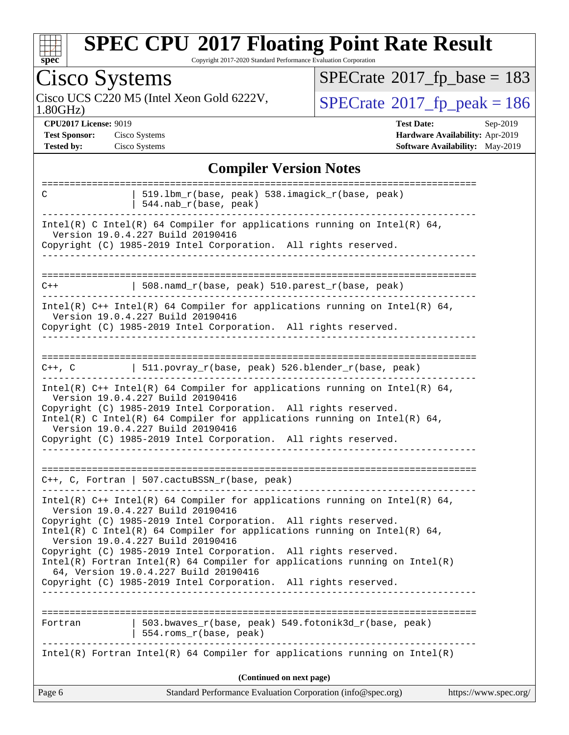

Copyright 2017-2020 Standard Performance Evaluation Corporation

#### Cisco Systems<br>Cisco UCS C220 M5 (Intel Xeon Gold 6222V,  $SPECrate$ <sup>®</sup>[2017\\_fp\\_base =](http://www.spec.org/auto/cpu2017/Docs/result-fields.html#SPECrate2017fpbase) 183 **[CPU2017 License:](http://www.spec.org/auto/cpu2017/Docs/result-fields.html#CPU2017License)** 9019 **[Test Date:](http://www.spec.org/auto/cpu2017/Docs/result-fields.html#TestDate)** Sep-2019 **[Test Sponsor:](http://www.spec.org/auto/cpu2017/Docs/result-fields.html#TestSponsor)** Cisco Systems **[Hardware Availability:](http://www.spec.org/auto/cpu2017/Docs/result-fields.html#HardwareAvailability)** Apr-2019 **[Tested by:](http://www.spec.org/auto/cpu2017/Docs/result-fields.html#Testedby)** Cisco Systems **[Software Availability:](http://www.spec.org/auto/cpu2017/Docs/result-fields.html#SoftwareAvailability)** May-2019 **[Compiler Version Notes](http://www.spec.org/auto/cpu2017/Docs/result-fields.html#CompilerVersionNotes)**

| <b>Compiler Version Notes</b>                                                                                                                                                                                                                                                                         |  |  |  |
|-------------------------------------------------------------------------------------------------------------------------------------------------------------------------------------------------------------------------------------------------------------------------------------------------------|--|--|--|
| 519.1bm_r(base, peak) 538.imagick_r(base, peak)<br>C<br>$544.nab_r(base, peak)$                                                                                                                                                                                                                       |  |  |  |
| Intel(R) C Intel(R) 64 Compiler for applications running on Intel(R) 64,<br>Version 19.0.4.227 Build 20190416                                                                                                                                                                                         |  |  |  |
| Copyright (C) 1985-2019 Intel Corporation. All rights reserved.                                                                                                                                                                                                                                       |  |  |  |
| 508.namd_r(base, peak) 510.parest_r(base, peak)<br>$C++$                                                                                                                                                                                                                                              |  |  |  |
| Intel(R) $C++$ Intel(R) 64 Compiler for applications running on Intel(R) 64,<br>Version 19.0.4.227 Build 20190416                                                                                                                                                                                     |  |  |  |
| Copyright (C) 1985-2019 Intel Corporation. All rights reserved.<br>-------------------------------                                                                                                                                                                                                    |  |  |  |
| C++, C $ $ 511.povray_r(base, peak) 526.blender_r(base, peak)                                                                                                                                                                                                                                         |  |  |  |
| Intel(R) $C++$ Intel(R) 64 Compiler for applications running on Intel(R) 64,<br>Version 19.0.4.227 Build 20190416<br>Copyright (C) 1985-2019 Intel Corporation. All rights reserved.<br>Intel(R) C Intel(R) 64 Compiler for applications running on Intel(R) 64,<br>Version 19.0.4.227 Build 20190416 |  |  |  |
| Copyright (C) 1985-2019 Intel Corporation. All rights reserved.                                                                                                                                                                                                                                       |  |  |  |
| $C++$ , C, Fortran   507.cactuBSSN_r(base, peak)<br>----------------------------                                                                                                                                                                                                                      |  |  |  |
| Intel(R) $C++$ Intel(R) 64 Compiler for applications running on Intel(R) 64,<br>Version 19.0.4.227 Build 20190416<br>Copyright (C) 1985-2019 Intel Corporation. All rights reserved.                                                                                                                  |  |  |  |
| Intel(R) C Intel(R) 64 Compiler for applications running on Intel(R) 64,<br>Version 19.0.4.227 Build 20190416                                                                                                                                                                                         |  |  |  |
| Copyright (C) 1985-2019 Intel Corporation. All rights reserved.<br>$Intel(R)$ Fortran Intel(R) 64 Compiler for applications running on Intel(R)<br>64, Version 19.0.4.227 Build 20190416                                                                                                              |  |  |  |
| Copyright (C) 1985-2019 Intel Corporation. All rights reserved.                                                                                                                                                                                                                                       |  |  |  |
| 503.bwaves_r(base, peak) 549.fotonik3d_r(base, peak)<br>Fortran<br>554.roms_r(base, peak)                                                                                                                                                                                                             |  |  |  |
| $Intel(R)$ Fortran Intel(R) 64 Compiler for applications running on Intel(R)                                                                                                                                                                                                                          |  |  |  |
| (Continued on next page)                                                                                                                                                                                                                                                                              |  |  |  |
| Page 6<br>Standard Performance Evaluation Corporation (info@spec.org)<br>https://www.spec.org/                                                                                                                                                                                                        |  |  |  |

 $SPECTate$ <sup>®</sup>[2017\\_fp\\_peak = 1](http://www.spec.org/auto/cpu2017/Docs/result-fields.html#SPECrate2017fppeak)86

1.80GHz)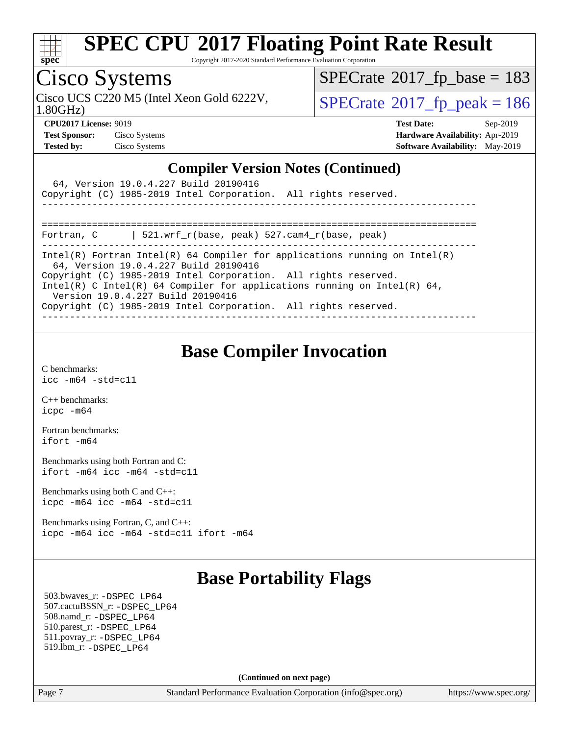

Copyright 2017-2020 Standard Performance Evaluation Corporation

## Cisco Systems

1.80GHz)

 $SPECTate$ <sup>®</sup>[2017\\_fp\\_base =](http://www.spec.org/auto/cpu2017/Docs/result-fields.html#SPECrate2017fpbase) 183

Cisco UCS C220 M5 (Intel Xeon Gold 6222V,  $\begin{array}{c|c} | \text{SPECrate} @ 2017\_fp\_peak = 186 \\ \end{array}$  $\begin{array}{c|c} | \text{SPECrate} @ 2017\_fp\_peak = 186 \\ \end{array}$  $\begin{array}{c|c} | \text{SPECrate} @ 2017\_fp\_peak = 186 \\ \end{array}$ 

**[CPU2017 License:](http://www.spec.org/auto/cpu2017/Docs/result-fields.html#CPU2017License)** 9019 **[Test Date:](http://www.spec.org/auto/cpu2017/Docs/result-fields.html#TestDate)** Sep-2019 **[Test Sponsor:](http://www.spec.org/auto/cpu2017/Docs/result-fields.html#TestSponsor)** Cisco Systems **[Hardware Availability:](http://www.spec.org/auto/cpu2017/Docs/result-fields.html#HardwareAvailability)** Apr-2019 **[Tested by:](http://www.spec.org/auto/cpu2017/Docs/result-fields.html#Testedby)** Cisco Systems **[Software Availability:](http://www.spec.org/auto/cpu2017/Docs/result-fields.html#SoftwareAvailability)** May-2019

#### **[Compiler Version Notes \(Continued\)](http://www.spec.org/auto/cpu2017/Docs/result-fields.html#CompilerVersionNotes)**

| 64, Version 19.0.4.227 Build 20190416<br>Copyright (C) 1985-2019 Intel Corporation. All rights reserved.                                                                                                                                                                                                                                                                   |  |  |  |  |
|----------------------------------------------------------------------------------------------------------------------------------------------------------------------------------------------------------------------------------------------------------------------------------------------------------------------------------------------------------------------------|--|--|--|--|
| 521.wrf $r(base, peak)$ 527.cam4 $r(base, peak)$<br>Fortran, C                                                                                                                                                                                                                                                                                                             |  |  |  |  |
| Intel(R) Fortran Intel(R) 64 Compiler for applications running on Intel(R)<br>64, Version 19.0.4.227 Build 20190416<br>Copyright (C) 1985-2019 Intel Corporation. All rights reserved.<br>Intel(R) C Intel(R) 64 Compiler for applications running on Intel(R) 64,<br>Version 19.0.4.227 Build 20190416<br>Copyright (C) 1985-2019 Intel Corporation. All rights reserved. |  |  |  |  |
|                                                                                                                                                                                                                                                                                                                                                                            |  |  |  |  |

### **[Base Compiler Invocation](http://www.spec.org/auto/cpu2017/Docs/result-fields.html#BaseCompilerInvocation)**

[C benchmarks](http://www.spec.org/auto/cpu2017/Docs/result-fields.html#Cbenchmarks): [icc -m64 -std=c11](http://www.spec.org/cpu2017/results/res2019q4/cpu2017-20190930-18828.flags.html#user_CCbase_intel_icc_64bit_c11_33ee0cdaae7deeeab2a9725423ba97205ce30f63b9926c2519791662299b76a0318f32ddfffdc46587804de3178b4f9328c46fa7c2b0cd779d7a61945c91cd35)

[C++ benchmarks:](http://www.spec.org/auto/cpu2017/Docs/result-fields.html#CXXbenchmarks) [icpc -m64](http://www.spec.org/cpu2017/results/res2019q4/cpu2017-20190930-18828.flags.html#user_CXXbase_intel_icpc_64bit_4ecb2543ae3f1412ef961e0650ca070fec7b7afdcd6ed48761b84423119d1bf6bdf5cad15b44d48e7256388bc77273b966e5eb805aefd121eb22e9299b2ec9d9)

[Fortran benchmarks](http://www.spec.org/auto/cpu2017/Docs/result-fields.html#Fortranbenchmarks): [ifort -m64](http://www.spec.org/cpu2017/results/res2019q4/cpu2017-20190930-18828.flags.html#user_FCbase_intel_ifort_64bit_24f2bb282fbaeffd6157abe4f878425411749daecae9a33200eee2bee2fe76f3b89351d69a8130dd5949958ce389cf37ff59a95e7a40d588e8d3a57e0c3fd751)

[Benchmarks using both Fortran and C](http://www.spec.org/auto/cpu2017/Docs/result-fields.html#BenchmarksusingbothFortranandC): [ifort -m64](http://www.spec.org/cpu2017/results/res2019q4/cpu2017-20190930-18828.flags.html#user_CC_FCbase_intel_ifort_64bit_24f2bb282fbaeffd6157abe4f878425411749daecae9a33200eee2bee2fe76f3b89351d69a8130dd5949958ce389cf37ff59a95e7a40d588e8d3a57e0c3fd751) [icc -m64 -std=c11](http://www.spec.org/cpu2017/results/res2019q4/cpu2017-20190930-18828.flags.html#user_CC_FCbase_intel_icc_64bit_c11_33ee0cdaae7deeeab2a9725423ba97205ce30f63b9926c2519791662299b76a0318f32ddfffdc46587804de3178b4f9328c46fa7c2b0cd779d7a61945c91cd35)

[Benchmarks using both C and C++](http://www.spec.org/auto/cpu2017/Docs/result-fields.html#BenchmarksusingbothCandCXX): [icpc -m64](http://www.spec.org/cpu2017/results/res2019q4/cpu2017-20190930-18828.flags.html#user_CC_CXXbase_intel_icpc_64bit_4ecb2543ae3f1412ef961e0650ca070fec7b7afdcd6ed48761b84423119d1bf6bdf5cad15b44d48e7256388bc77273b966e5eb805aefd121eb22e9299b2ec9d9) [icc -m64 -std=c11](http://www.spec.org/cpu2017/results/res2019q4/cpu2017-20190930-18828.flags.html#user_CC_CXXbase_intel_icc_64bit_c11_33ee0cdaae7deeeab2a9725423ba97205ce30f63b9926c2519791662299b76a0318f32ddfffdc46587804de3178b4f9328c46fa7c2b0cd779d7a61945c91cd35)

[Benchmarks using Fortran, C, and C++:](http://www.spec.org/auto/cpu2017/Docs/result-fields.html#BenchmarksusingFortranCandCXX) [icpc -m64](http://www.spec.org/cpu2017/results/res2019q4/cpu2017-20190930-18828.flags.html#user_CC_CXX_FCbase_intel_icpc_64bit_4ecb2543ae3f1412ef961e0650ca070fec7b7afdcd6ed48761b84423119d1bf6bdf5cad15b44d48e7256388bc77273b966e5eb805aefd121eb22e9299b2ec9d9) [icc -m64 -std=c11](http://www.spec.org/cpu2017/results/res2019q4/cpu2017-20190930-18828.flags.html#user_CC_CXX_FCbase_intel_icc_64bit_c11_33ee0cdaae7deeeab2a9725423ba97205ce30f63b9926c2519791662299b76a0318f32ddfffdc46587804de3178b4f9328c46fa7c2b0cd779d7a61945c91cd35) [ifort -m64](http://www.spec.org/cpu2017/results/res2019q4/cpu2017-20190930-18828.flags.html#user_CC_CXX_FCbase_intel_ifort_64bit_24f2bb282fbaeffd6157abe4f878425411749daecae9a33200eee2bee2fe76f3b89351d69a8130dd5949958ce389cf37ff59a95e7a40d588e8d3a57e0c3fd751)

## **[Base Portability Flags](http://www.spec.org/auto/cpu2017/Docs/result-fields.html#BasePortabilityFlags)**

 503.bwaves\_r: [-DSPEC\\_LP64](http://www.spec.org/cpu2017/results/res2019q4/cpu2017-20190930-18828.flags.html#suite_basePORTABILITY503_bwaves_r_DSPEC_LP64) 507.cactuBSSN\_r: [-DSPEC\\_LP64](http://www.spec.org/cpu2017/results/res2019q4/cpu2017-20190930-18828.flags.html#suite_basePORTABILITY507_cactuBSSN_r_DSPEC_LP64) 508.namd\_r: [-DSPEC\\_LP64](http://www.spec.org/cpu2017/results/res2019q4/cpu2017-20190930-18828.flags.html#suite_basePORTABILITY508_namd_r_DSPEC_LP64) 510.parest\_r: [-DSPEC\\_LP64](http://www.spec.org/cpu2017/results/res2019q4/cpu2017-20190930-18828.flags.html#suite_basePORTABILITY510_parest_r_DSPEC_LP64) 511.povray\_r: [-DSPEC\\_LP64](http://www.spec.org/cpu2017/results/res2019q4/cpu2017-20190930-18828.flags.html#suite_basePORTABILITY511_povray_r_DSPEC_LP64) 519.lbm\_r: [-DSPEC\\_LP64](http://www.spec.org/cpu2017/results/res2019q4/cpu2017-20190930-18828.flags.html#suite_basePORTABILITY519_lbm_r_DSPEC_LP64)

**(Continued on next page)**

Page 7 Standard Performance Evaluation Corporation [\(info@spec.org\)](mailto:info@spec.org) <https://www.spec.org/>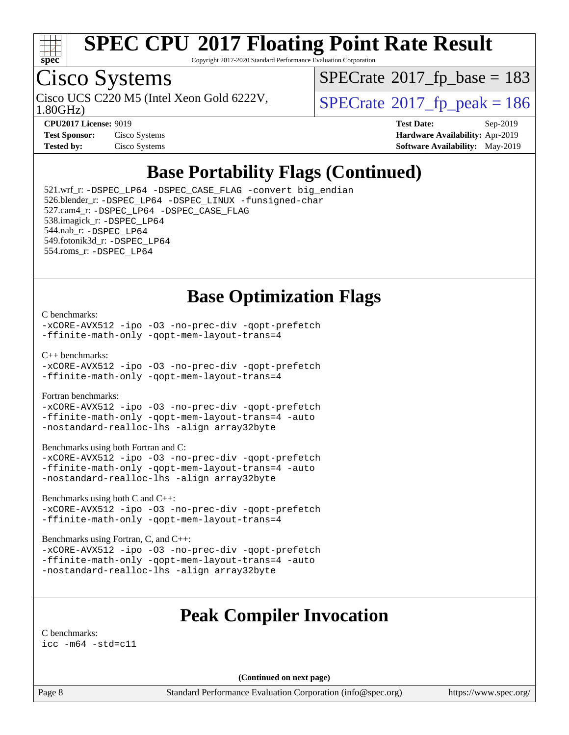

Copyright 2017-2020 Standard Performance Evaluation Corporation

# Cisco Systems

1.80GHz) Cisco UCS C220 M5 (Intel Xeon Gold 6222V,  $\vert$  [SPECrate](http://www.spec.org/auto/cpu2017/Docs/result-fields.html#SPECrate2017fppeak)®[2017\\_fp\\_peak = 1](http://www.spec.org/auto/cpu2017/Docs/result-fields.html#SPECrate2017fppeak)86

 $SPECTate$ <sup>®</sup>[2017\\_fp\\_base =](http://www.spec.org/auto/cpu2017/Docs/result-fields.html#SPECrate2017fpbase) 183

| <b>Test Sponsor:</b> | Cisco Systems |
|----------------------|---------------|
| <b>Tested by:</b>    | Cisco Systems |

**[CPU2017 License:](http://www.spec.org/auto/cpu2017/Docs/result-fields.html#CPU2017License)** 9019 **[Test Date:](http://www.spec.org/auto/cpu2017/Docs/result-fields.html#TestDate)** Sep-2019 **[Hardware Availability:](http://www.spec.org/auto/cpu2017/Docs/result-fields.html#HardwareAvailability)** Apr-2019 **[Software Availability:](http://www.spec.org/auto/cpu2017/Docs/result-fields.html#SoftwareAvailability)** May-2019

## **[Base Portability Flags \(Continued\)](http://www.spec.org/auto/cpu2017/Docs/result-fields.html#BasePortabilityFlags)**

 521.wrf\_r: [-DSPEC\\_LP64](http://www.spec.org/cpu2017/results/res2019q4/cpu2017-20190930-18828.flags.html#suite_basePORTABILITY521_wrf_r_DSPEC_LP64) [-DSPEC\\_CASE\\_FLAG](http://www.spec.org/cpu2017/results/res2019q4/cpu2017-20190930-18828.flags.html#b521.wrf_r_baseCPORTABILITY_DSPEC_CASE_FLAG) [-convert big\\_endian](http://www.spec.org/cpu2017/results/res2019q4/cpu2017-20190930-18828.flags.html#user_baseFPORTABILITY521_wrf_r_convert_big_endian_c3194028bc08c63ac5d04de18c48ce6d347e4e562e8892b8bdbdc0214820426deb8554edfa529a3fb25a586e65a3d812c835984020483e7e73212c4d31a38223) 526.blender\_r: [-DSPEC\\_LP64](http://www.spec.org/cpu2017/results/res2019q4/cpu2017-20190930-18828.flags.html#suite_basePORTABILITY526_blender_r_DSPEC_LP64) [-DSPEC\\_LINUX](http://www.spec.org/cpu2017/results/res2019q4/cpu2017-20190930-18828.flags.html#b526.blender_r_baseCPORTABILITY_DSPEC_LINUX) [-funsigned-char](http://www.spec.org/cpu2017/results/res2019q4/cpu2017-20190930-18828.flags.html#user_baseCPORTABILITY526_blender_r_force_uchar_40c60f00ab013830e2dd6774aeded3ff59883ba5a1fc5fc14077f794d777847726e2a5858cbc7672e36e1b067e7e5c1d9a74f7176df07886a243d7cc18edfe67) 527.cam4\_r: [-DSPEC\\_LP64](http://www.spec.org/cpu2017/results/res2019q4/cpu2017-20190930-18828.flags.html#suite_basePORTABILITY527_cam4_r_DSPEC_LP64) [-DSPEC\\_CASE\\_FLAG](http://www.spec.org/cpu2017/results/res2019q4/cpu2017-20190930-18828.flags.html#b527.cam4_r_baseCPORTABILITY_DSPEC_CASE_FLAG) 538.imagick\_r: [-DSPEC\\_LP64](http://www.spec.org/cpu2017/results/res2019q4/cpu2017-20190930-18828.flags.html#suite_basePORTABILITY538_imagick_r_DSPEC_LP64) 544.nab\_r: [-DSPEC\\_LP64](http://www.spec.org/cpu2017/results/res2019q4/cpu2017-20190930-18828.flags.html#suite_basePORTABILITY544_nab_r_DSPEC_LP64) 549.fotonik3d\_r: [-DSPEC\\_LP64](http://www.spec.org/cpu2017/results/res2019q4/cpu2017-20190930-18828.flags.html#suite_basePORTABILITY549_fotonik3d_r_DSPEC_LP64) 554.roms\_r: [-DSPEC\\_LP64](http://www.spec.org/cpu2017/results/res2019q4/cpu2017-20190930-18828.flags.html#suite_basePORTABILITY554_roms_r_DSPEC_LP64)

### **[Base Optimization Flags](http://www.spec.org/auto/cpu2017/Docs/result-fields.html#BaseOptimizationFlags)**

#### [C benchmarks](http://www.spec.org/auto/cpu2017/Docs/result-fields.html#Cbenchmarks):

[-xCORE-AVX512](http://www.spec.org/cpu2017/results/res2019q4/cpu2017-20190930-18828.flags.html#user_CCbase_f-xCORE-AVX512) [-ipo](http://www.spec.org/cpu2017/results/res2019q4/cpu2017-20190930-18828.flags.html#user_CCbase_f-ipo) [-O3](http://www.spec.org/cpu2017/results/res2019q4/cpu2017-20190930-18828.flags.html#user_CCbase_f-O3) [-no-prec-div](http://www.spec.org/cpu2017/results/res2019q4/cpu2017-20190930-18828.flags.html#user_CCbase_f-no-prec-div) [-qopt-prefetch](http://www.spec.org/cpu2017/results/res2019q4/cpu2017-20190930-18828.flags.html#user_CCbase_f-qopt-prefetch) [-ffinite-math-only](http://www.spec.org/cpu2017/results/res2019q4/cpu2017-20190930-18828.flags.html#user_CCbase_f_finite_math_only_cb91587bd2077682c4b38af759c288ed7c732db004271a9512da14a4f8007909a5f1427ecbf1a0fb78ff2a814402c6114ac565ca162485bbcae155b5e4258871) [-qopt-mem-layout-trans=4](http://www.spec.org/cpu2017/results/res2019q4/cpu2017-20190930-18828.flags.html#user_CCbase_f-qopt-mem-layout-trans_fa39e755916c150a61361b7846f310bcdf6f04e385ef281cadf3647acec3f0ae266d1a1d22d972a7087a248fd4e6ca390a3634700869573d231a252c784941a8)

[C++ benchmarks:](http://www.spec.org/auto/cpu2017/Docs/result-fields.html#CXXbenchmarks)

[-xCORE-AVX512](http://www.spec.org/cpu2017/results/res2019q4/cpu2017-20190930-18828.flags.html#user_CXXbase_f-xCORE-AVX512) [-ipo](http://www.spec.org/cpu2017/results/res2019q4/cpu2017-20190930-18828.flags.html#user_CXXbase_f-ipo) [-O3](http://www.spec.org/cpu2017/results/res2019q4/cpu2017-20190930-18828.flags.html#user_CXXbase_f-O3) [-no-prec-div](http://www.spec.org/cpu2017/results/res2019q4/cpu2017-20190930-18828.flags.html#user_CXXbase_f-no-prec-div) [-qopt-prefetch](http://www.spec.org/cpu2017/results/res2019q4/cpu2017-20190930-18828.flags.html#user_CXXbase_f-qopt-prefetch) [-ffinite-math-only](http://www.spec.org/cpu2017/results/res2019q4/cpu2017-20190930-18828.flags.html#user_CXXbase_f_finite_math_only_cb91587bd2077682c4b38af759c288ed7c732db004271a9512da14a4f8007909a5f1427ecbf1a0fb78ff2a814402c6114ac565ca162485bbcae155b5e4258871) [-qopt-mem-layout-trans=4](http://www.spec.org/cpu2017/results/res2019q4/cpu2017-20190930-18828.flags.html#user_CXXbase_f-qopt-mem-layout-trans_fa39e755916c150a61361b7846f310bcdf6f04e385ef281cadf3647acec3f0ae266d1a1d22d972a7087a248fd4e6ca390a3634700869573d231a252c784941a8)

[Fortran benchmarks](http://www.spec.org/auto/cpu2017/Docs/result-fields.html#Fortranbenchmarks):

[-xCORE-AVX512](http://www.spec.org/cpu2017/results/res2019q4/cpu2017-20190930-18828.flags.html#user_FCbase_f-xCORE-AVX512) [-ipo](http://www.spec.org/cpu2017/results/res2019q4/cpu2017-20190930-18828.flags.html#user_FCbase_f-ipo) [-O3](http://www.spec.org/cpu2017/results/res2019q4/cpu2017-20190930-18828.flags.html#user_FCbase_f-O3) [-no-prec-div](http://www.spec.org/cpu2017/results/res2019q4/cpu2017-20190930-18828.flags.html#user_FCbase_f-no-prec-div) [-qopt-prefetch](http://www.spec.org/cpu2017/results/res2019q4/cpu2017-20190930-18828.flags.html#user_FCbase_f-qopt-prefetch) [-ffinite-math-only](http://www.spec.org/cpu2017/results/res2019q4/cpu2017-20190930-18828.flags.html#user_FCbase_f_finite_math_only_cb91587bd2077682c4b38af759c288ed7c732db004271a9512da14a4f8007909a5f1427ecbf1a0fb78ff2a814402c6114ac565ca162485bbcae155b5e4258871) [-qopt-mem-layout-trans=4](http://www.spec.org/cpu2017/results/res2019q4/cpu2017-20190930-18828.flags.html#user_FCbase_f-qopt-mem-layout-trans_fa39e755916c150a61361b7846f310bcdf6f04e385ef281cadf3647acec3f0ae266d1a1d22d972a7087a248fd4e6ca390a3634700869573d231a252c784941a8) [-auto](http://www.spec.org/cpu2017/results/res2019q4/cpu2017-20190930-18828.flags.html#user_FCbase_f-auto) [-nostandard-realloc-lhs](http://www.spec.org/cpu2017/results/res2019q4/cpu2017-20190930-18828.flags.html#user_FCbase_f_2003_std_realloc_82b4557e90729c0f113870c07e44d33d6f5a304b4f63d4c15d2d0f1fab99f5daaed73bdb9275d9ae411527f28b936061aa8b9c8f2d63842963b95c9dd6426b8a) [-align array32byte](http://www.spec.org/cpu2017/results/res2019q4/cpu2017-20190930-18828.flags.html#user_FCbase_align_array32byte_b982fe038af199962ba9a80c053b8342c548c85b40b8e86eb3cc33dee0d7986a4af373ac2d51c3f7cf710a18d62fdce2948f201cd044323541f22fc0fffc51b6)

[Benchmarks using both Fortran and C](http://www.spec.org/auto/cpu2017/Docs/result-fields.html#BenchmarksusingbothFortranandC):

[-xCORE-AVX512](http://www.spec.org/cpu2017/results/res2019q4/cpu2017-20190930-18828.flags.html#user_CC_FCbase_f-xCORE-AVX512) [-ipo](http://www.spec.org/cpu2017/results/res2019q4/cpu2017-20190930-18828.flags.html#user_CC_FCbase_f-ipo) [-O3](http://www.spec.org/cpu2017/results/res2019q4/cpu2017-20190930-18828.flags.html#user_CC_FCbase_f-O3) [-no-prec-div](http://www.spec.org/cpu2017/results/res2019q4/cpu2017-20190930-18828.flags.html#user_CC_FCbase_f-no-prec-div) [-qopt-prefetch](http://www.spec.org/cpu2017/results/res2019q4/cpu2017-20190930-18828.flags.html#user_CC_FCbase_f-qopt-prefetch) [-ffinite-math-only](http://www.spec.org/cpu2017/results/res2019q4/cpu2017-20190930-18828.flags.html#user_CC_FCbase_f_finite_math_only_cb91587bd2077682c4b38af759c288ed7c732db004271a9512da14a4f8007909a5f1427ecbf1a0fb78ff2a814402c6114ac565ca162485bbcae155b5e4258871) [-qopt-mem-layout-trans=4](http://www.spec.org/cpu2017/results/res2019q4/cpu2017-20190930-18828.flags.html#user_CC_FCbase_f-qopt-mem-layout-trans_fa39e755916c150a61361b7846f310bcdf6f04e385ef281cadf3647acec3f0ae266d1a1d22d972a7087a248fd4e6ca390a3634700869573d231a252c784941a8) [-auto](http://www.spec.org/cpu2017/results/res2019q4/cpu2017-20190930-18828.flags.html#user_CC_FCbase_f-auto) [-nostandard-realloc-lhs](http://www.spec.org/cpu2017/results/res2019q4/cpu2017-20190930-18828.flags.html#user_CC_FCbase_f_2003_std_realloc_82b4557e90729c0f113870c07e44d33d6f5a304b4f63d4c15d2d0f1fab99f5daaed73bdb9275d9ae411527f28b936061aa8b9c8f2d63842963b95c9dd6426b8a) [-align array32byte](http://www.spec.org/cpu2017/results/res2019q4/cpu2017-20190930-18828.flags.html#user_CC_FCbase_align_array32byte_b982fe038af199962ba9a80c053b8342c548c85b40b8e86eb3cc33dee0d7986a4af373ac2d51c3f7cf710a18d62fdce2948f201cd044323541f22fc0fffc51b6)

[Benchmarks using both C and C++](http://www.spec.org/auto/cpu2017/Docs/result-fields.html#BenchmarksusingbothCandCXX):

[-xCORE-AVX512](http://www.spec.org/cpu2017/results/res2019q4/cpu2017-20190930-18828.flags.html#user_CC_CXXbase_f-xCORE-AVX512) [-ipo](http://www.spec.org/cpu2017/results/res2019q4/cpu2017-20190930-18828.flags.html#user_CC_CXXbase_f-ipo) [-O3](http://www.spec.org/cpu2017/results/res2019q4/cpu2017-20190930-18828.flags.html#user_CC_CXXbase_f-O3) [-no-prec-div](http://www.spec.org/cpu2017/results/res2019q4/cpu2017-20190930-18828.flags.html#user_CC_CXXbase_f-no-prec-div) [-qopt-prefetch](http://www.spec.org/cpu2017/results/res2019q4/cpu2017-20190930-18828.flags.html#user_CC_CXXbase_f-qopt-prefetch) [-ffinite-math-only](http://www.spec.org/cpu2017/results/res2019q4/cpu2017-20190930-18828.flags.html#user_CC_CXXbase_f_finite_math_only_cb91587bd2077682c4b38af759c288ed7c732db004271a9512da14a4f8007909a5f1427ecbf1a0fb78ff2a814402c6114ac565ca162485bbcae155b5e4258871) [-qopt-mem-layout-trans=4](http://www.spec.org/cpu2017/results/res2019q4/cpu2017-20190930-18828.flags.html#user_CC_CXXbase_f-qopt-mem-layout-trans_fa39e755916c150a61361b7846f310bcdf6f04e385ef281cadf3647acec3f0ae266d1a1d22d972a7087a248fd4e6ca390a3634700869573d231a252c784941a8)

[Benchmarks using Fortran, C, and C++:](http://www.spec.org/auto/cpu2017/Docs/result-fields.html#BenchmarksusingFortranCandCXX)

[-xCORE-AVX512](http://www.spec.org/cpu2017/results/res2019q4/cpu2017-20190930-18828.flags.html#user_CC_CXX_FCbase_f-xCORE-AVX512) [-ipo](http://www.spec.org/cpu2017/results/res2019q4/cpu2017-20190930-18828.flags.html#user_CC_CXX_FCbase_f-ipo) [-O3](http://www.spec.org/cpu2017/results/res2019q4/cpu2017-20190930-18828.flags.html#user_CC_CXX_FCbase_f-O3) [-no-prec-div](http://www.spec.org/cpu2017/results/res2019q4/cpu2017-20190930-18828.flags.html#user_CC_CXX_FCbase_f-no-prec-div) [-qopt-prefetch](http://www.spec.org/cpu2017/results/res2019q4/cpu2017-20190930-18828.flags.html#user_CC_CXX_FCbase_f-qopt-prefetch) [-ffinite-math-only](http://www.spec.org/cpu2017/results/res2019q4/cpu2017-20190930-18828.flags.html#user_CC_CXX_FCbase_f_finite_math_only_cb91587bd2077682c4b38af759c288ed7c732db004271a9512da14a4f8007909a5f1427ecbf1a0fb78ff2a814402c6114ac565ca162485bbcae155b5e4258871) [-qopt-mem-layout-trans=4](http://www.spec.org/cpu2017/results/res2019q4/cpu2017-20190930-18828.flags.html#user_CC_CXX_FCbase_f-qopt-mem-layout-trans_fa39e755916c150a61361b7846f310bcdf6f04e385ef281cadf3647acec3f0ae266d1a1d22d972a7087a248fd4e6ca390a3634700869573d231a252c784941a8) [-auto](http://www.spec.org/cpu2017/results/res2019q4/cpu2017-20190930-18828.flags.html#user_CC_CXX_FCbase_f-auto) [-nostandard-realloc-lhs](http://www.spec.org/cpu2017/results/res2019q4/cpu2017-20190930-18828.flags.html#user_CC_CXX_FCbase_f_2003_std_realloc_82b4557e90729c0f113870c07e44d33d6f5a304b4f63d4c15d2d0f1fab99f5daaed73bdb9275d9ae411527f28b936061aa8b9c8f2d63842963b95c9dd6426b8a) [-align array32byte](http://www.spec.org/cpu2017/results/res2019q4/cpu2017-20190930-18828.flags.html#user_CC_CXX_FCbase_align_array32byte_b982fe038af199962ba9a80c053b8342c548c85b40b8e86eb3cc33dee0d7986a4af373ac2d51c3f7cf710a18d62fdce2948f201cd044323541f22fc0fffc51b6)

#### **[Peak Compiler Invocation](http://www.spec.org/auto/cpu2017/Docs/result-fields.html#PeakCompilerInvocation)**

[C benchmarks](http://www.spec.org/auto/cpu2017/Docs/result-fields.html#Cbenchmarks): [icc -m64 -std=c11](http://www.spec.org/cpu2017/results/res2019q4/cpu2017-20190930-18828.flags.html#user_CCpeak_intel_icc_64bit_c11_33ee0cdaae7deeeab2a9725423ba97205ce30f63b9926c2519791662299b76a0318f32ddfffdc46587804de3178b4f9328c46fa7c2b0cd779d7a61945c91cd35)

**(Continued on next page)**

Page 8 Standard Performance Evaluation Corporation [\(info@spec.org\)](mailto:info@spec.org) <https://www.spec.org/>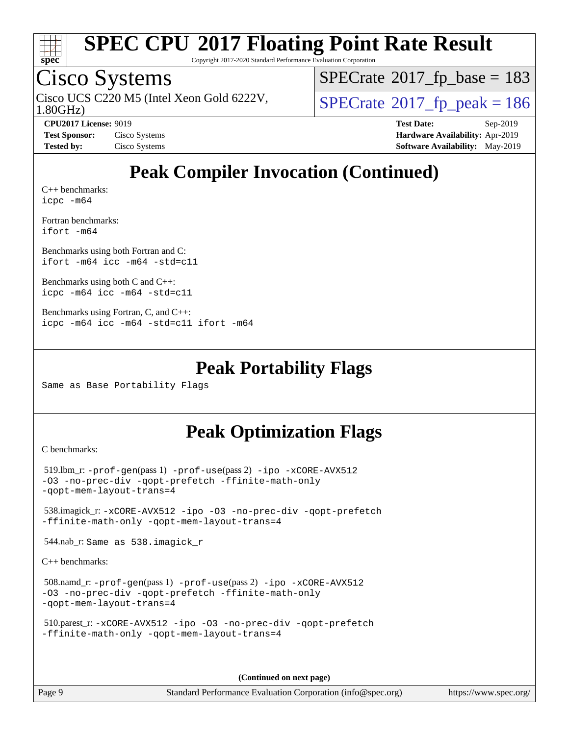

Copyright 2017-2020 Standard Performance Evaluation Corporation

## Cisco Systems

1.80GHz) Cisco UCS C220 M5 (Intel Xeon Gold 6222V,  $\vert$  [SPECrate](http://www.spec.org/auto/cpu2017/Docs/result-fields.html#SPECrate2017fppeak)®[2017\\_fp\\_peak = 1](http://www.spec.org/auto/cpu2017/Docs/result-fields.html#SPECrate2017fppeak)86

 $SPECTate$ <sup>®</sup>[2017\\_fp\\_base =](http://www.spec.org/auto/cpu2017/Docs/result-fields.html#SPECrate2017fpbase) 183

**[CPU2017 License:](http://www.spec.org/auto/cpu2017/Docs/result-fields.html#CPU2017License)** 9019 **[Test Date:](http://www.spec.org/auto/cpu2017/Docs/result-fields.html#TestDate)** Sep-2019 **[Test Sponsor:](http://www.spec.org/auto/cpu2017/Docs/result-fields.html#TestSponsor)** Cisco Systems **[Hardware Availability:](http://www.spec.org/auto/cpu2017/Docs/result-fields.html#HardwareAvailability)** Apr-2019 **[Tested by:](http://www.spec.org/auto/cpu2017/Docs/result-fields.html#Testedby)** Cisco Systems **[Software Availability:](http://www.spec.org/auto/cpu2017/Docs/result-fields.html#SoftwareAvailability)** May-2019

## **[Peak Compiler Invocation \(Continued\)](http://www.spec.org/auto/cpu2017/Docs/result-fields.html#PeakCompilerInvocation)**

[C++ benchmarks:](http://www.spec.org/auto/cpu2017/Docs/result-fields.html#CXXbenchmarks) [icpc -m64](http://www.spec.org/cpu2017/results/res2019q4/cpu2017-20190930-18828.flags.html#user_CXXpeak_intel_icpc_64bit_4ecb2543ae3f1412ef961e0650ca070fec7b7afdcd6ed48761b84423119d1bf6bdf5cad15b44d48e7256388bc77273b966e5eb805aefd121eb22e9299b2ec9d9)

[Fortran benchmarks](http://www.spec.org/auto/cpu2017/Docs/result-fields.html#Fortranbenchmarks): [ifort -m64](http://www.spec.org/cpu2017/results/res2019q4/cpu2017-20190930-18828.flags.html#user_FCpeak_intel_ifort_64bit_24f2bb282fbaeffd6157abe4f878425411749daecae9a33200eee2bee2fe76f3b89351d69a8130dd5949958ce389cf37ff59a95e7a40d588e8d3a57e0c3fd751)

[Benchmarks using both Fortran and C](http://www.spec.org/auto/cpu2017/Docs/result-fields.html#BenchmarksusingbothFortranandC): [ifort -m64](http://www.spec.org/cpu2017/results/res2019q4/cpu2017-20190930-18828.flags.html#user_CC_FCpeak_intel_ifort_64bit_24f2bb282fbaeffd6157abe4f878425411749daecae9a33200eee2bee2fe76f3b89351d69a8130dd5949958ce389cf37ff59a95e7a40d588e8d3a57e0c3fd751) [icc -m64 -std=c11](http://www.spec.org/cpu2017/results/res2019q4/cpu2017-20190930-18828.flags.html#user_CC_FCpeak_intel_icc_64bit_c11_33ee0cdaae7deeeab2a9725423ba97205ce30f63b9926c2519791662299b76a0318f32ddfffdc46587804de3178b4f9328c46fa7c2b0cd779d7a61945c91cd35)

[Benchmarks using both C and C++](http://www.spec.org/auto/cpu2017/Docs/result-fields.html#BenchmarksusingbothCandCXX): [icpc -m64](http://www.spec.org/cpu2017/results/res2019q4/cpu2017-20190930-18828.flags.html#user_CC_CXXpeak_intel_icpc_64bit_4ecb2543ae3f1412ef961e0650ca070fec7b7afdcd6ed48761b84423119d1bf6bdf5cad15b44d48e7256388bc77273b966e5eb805aefd121eb22e9299b2ec9d9) [icc -m64 -std=c11](http://www.spec.org/cpu2017/results/res2019q4/cpu2017-20190930-18828.flags.html#user_CC_CXXpeak_intel_icc_64bit_c11_33ee0cdaae7deeeab2a9725423ba97205ce30f63b9926c2519791662299b76a0318f32ddfffdc46587804de3178b4f9328c46fa7c2b0cd779d7a61945c91cd35)

```
Benchmarks using Fortran, C, and C++: 
icpc -m64 icc -m64 -std=c11 ifort -m64
```
#### **[Peak Portability Flags](http://www.spec.org/auto/cpu2017/Docs/result-fields.html#PeakPortabilityFlags)**

Same as Base Portability Flags

## **[Peak Optimization Flags](http://www.spec.org/auto/cpu2017/Docs/result-fields.html#PeakOptimizationFlags)**

[C benchmarks](http://www.spec.org/auto/cpu2017/Docs/result-fields.html#Cbenchmarks):

```
 519.lbm_r: -prof-gen(pass 1) -prof-use(pass 2) -ipo -xCORE-AVX512
-O3 -no-prec-div -qopt-prefetch -ffinite-math-only
-qopt-mem-layout-trans=4
 538.imagick_r: -xCORE-AVX512 -ipo -O3 -no-prec-div -qopt-prefetch
-ffinite-math-only -qopt-mem-layout-trans=4
 544.nab_r: Same as 538.imagick_r
```
[C++ benchmarks:](http://www.spec.org/auto/cpu2017/Docs/result-fields.html#CXXbenchmarks)

```
 508.namd_r: -prof-gen(pass 1) -prof-use(pass 2) -ipo -xCORE-AVX512
-O3 -no-prec-div -qopt-prefetch -ffinite-math-only
-qopt-mem-layout-trans=4
```

```
 510.parest_r: -xCORE-AVX512 -ipo -O3 -no-prec-div -qopt-prefetch
-ffinite-math-only -qopt-mem-layout-trans=4
```
**(Continued on next page)**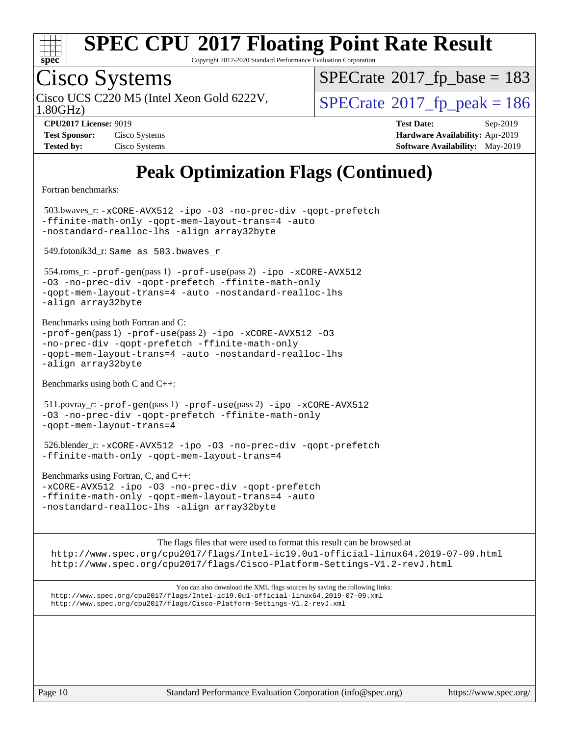

Copyright 2017-2020 Standard Performance Evaluation Corporation

# Cisco Systems

1.80GHz) Cisco UCS C220 M5 (Intel Xeon Gold 6222V,  $\vert$  [SPECrate](http://www.spec.org/auto/cpu2017/Docs/result-fields.html#SPECrate2017fppeak)®[2017\\_fp\\_peak = 1](http://www.spec.org/auto/cpu2017/Docs/result-fields.html#SPECrate2017fppeak)86

 $SPECTate@2017_fp\_base = 183$ 

**[Tested by:](http://www.spec.org/auto/cpu2017/Docs/result-fields.html#Testedby)** Cisco Systems **[Software Availability:](http://www.spec.org/auto/cpu2017/Docs/result-fields.html#SoftwareAvailability)** May-2019

**[CPU2017 License:](http://www.spec.org/auto/cpu2017/Docs/result-fields.html#CPU2017License)** 9019 **[Test Date:](http://www.spec.org/auto/cpu2017/Docs/result-fields.html#TestDate)** Sep-2019 **[Test Sponsor:](http://www.spec.org/auto/cpu2017/Docs/result-fields.html#TestSponsor)** Cisco Systems **[Hardware Availability:](http://www.spec.org/auto/cpu2017/Docs/result-fields.html#HardwareAvailability)** Apr-2019

## **[Peak Optimization Flags \(Continued\)](http://www.spec.org/auto/cpu2017/Docs/result-fields.html#PeakOptimizationFlags)**

[Fortran benchmarks](http://www.spec.org/auto/cpu2017/Docs/result-fields.html#Fortranbenchmarks):

 503.bwaves\_r: [-xCORE-AVX512](http://www.spec.org/cpu2017/results/res2019q4/cpu2017-20190930-18828.flags.html#user_peakFOPTIMIZE503_bwaves_r_f-xCORE-AVX512) [-ipo](http://www.spec.org/cpu2017/results/res2019q4/cpu2017-20190930-18828.flags.html#user_peakFOPTIMIZE503_bwaves_r_f-ipo) [-O3](http://www.spec.org/cpu2017/results/res2019q4/cpu2017-20190930-18828.flags.html#user_peakFOPTIMIZE503_bwaves_r_f-O3) [-no-prec-div](http://www.spec.org/cpu2017/results/res2019q4/cpu2017-20190930-18828.flags.html#user_peakFOPTIMIZE503_bwaves_r_f-no-prec-div) [-qopt-prefetch](http://www.spec.org/cpu2017/results/res2019q4/cpu2017-20190930-18828.flags.html#user_peakFOPTIMIZE503_bwaves_r_f-qopt-prefetch) [-ffinite-math-only](http://www.spec.org/cpu2017/results/res2019q4/cpu2017-20190930-18828.flags.html#user_peakFOPTIMIZE503_bwaves_r_f_finite_math_only_cb91587bd2077682c4b38af759c288ed7c732db004271a9512da14a4f8007909a5f1427ecbf1a0fb78ff2a814402c6114ac565ca162485bbcae155b5e4258871) [-qopt-mem-layout-trans=4](http://www.spec.org/cpu2017/results/res2019q4/cpu2017-20190930-18828.flags.html#user_peakFOPTIMIZE503_bwaves_r_f-qopt-mem-layout-trans_fa39e755916c150a61361b7846f310bcdf6f04e385ef281cadf3647acec3f0ae266d1a1d22d972a7087a248fd4e6ca390a3634700869573d231a252c784941a8) [-auto](http://www.spec.org/cpu2017/results/res2019q4/cpu2017-20190930-18828.flags.html#user_peakFOPTIMIZE503_bwaves_r_f-auto) [-nostandard-realloc-lhs](http://www.spec.org/cpu2017/results/res2019q4/cpu2017-20190930-18828.flags.html#user_peakEXTRA_FOPTIMIZE503_bwaves_r_f_2003_std_realloc_82b4557e90729c0f113870c07e44d33d6f5a304b4f63d4c15d2d0f1fab99f5daaed73bdb9275d9ae411527f28b936061aa8b9c8f2d63842963b95c9dd6426b8a) [-align array32byte](http://www.spec.org/cpu2017/results/res2019q4/cpu2017-20190930-18828.flags.html#user_peakEXTRA_FOPTIMIZE503_bwaves_r_align_array32byte_b982fe038af199962ba9a80c053b8342c548c85b40b8e86eb3cc33dee0d7986a4af373ac2d51c3f7cf710a18d62fdce2948f201cd044323541f22fc0fffc51b6) 549.fotonik3d\_r: Same as 503.bwaves\_r

 554.roms\_r: [-prof-gen](http://www.spec.org/cpu2017/results/res2019q4/cpu2017-20190930-18828.flags.html#user_peakPASS1_FFLAGSPASS1_LDFLAGS554_roms_r_prof_gen_5aa4926d6013ddb2a31985c654b3eb18169fc0c6952a63635c234f711e6e63dd76e94ad52365559451ec499a2cdb89e4dc58ba4c67ef54ca681ffbe1461d6b36)(pass 1) [-prof-use](http://www.spec.org/cpu2017/results/res2019q4/cpu2017-20190930-18828.flags.html#user_peakPASS2_FFLAGSPASS2_LDFLAGS554_roms_r_prof_use_1a21ceae95f36a2b53c25747139a6c16ca95bd9def2a207b4f0849963b97e94f5260e30a0c64f4bb623698870e679ca08317ef8150905d41bd88c6f78df73f19)(pass 2) [-ipo](http://www.spec.org/cpu2017/results/res2019q4/cpu2017-20190930-18828.flags.html#user_peakPASS1_FOPTIMIZEPASS2_FOPTIMIZE554_roms_r_f-ipo) [-xCORE-AVX512](http://www.spec.org/cpu2017/results/res2019q4/cpu2017-20190930-18828.flags.html#user_peakPASS2_FOPTIMIZE554_roms_r_f-xCORE-AVX512) [-O3](http://www.spec.org/cpu2017/results/res2019q4/cpu2017-20190930-18828.flags.html#user_peakPASS1_FOPTIMIZEPASS2_FOPTIMIZE554_roms_r_f-O3) [-no-prec-div](http://www.spec.org/cpu2017/results/res2019q4/cpu2017-20190930-18828.flags.html#user_peakPASS1_FOPTIMIZEPASS2_FOPTIMIZE554_roms_r_f-no-prec-div) [-qopt-prefetch](http://www.spec.org/cpu2017/results/res2019q4/cpu2017-20190930-18828.flags.html#user_peakPASS1_FOPTIMIZEPASS2_FOPTIMIZE554_roms_r_f-qopt-prefetch) [-ffinite-math-only](http://www.spec.org/cpu2017/results/res2019q4/cpu2017-20190930-18828.flags.html#user_peakPASS1_FOPTIMIZEPASS2_FOPTIMIZE554_roms_r_f_finite_math_only_cb91587bd2077682c4b38af759c288ed7c732db004271a9512da14a4f8007909a5f1427ecbf1a0fb78ff2a814402c6114ac565ca162485bbcae155b5e4258871) [-qopt-mem-layout-trans=4](http://www.spec.org/cpu2017/results/res2019q4/cpu2017-20190930-18828.flags.html#user_peakPASS1_FOPTIMIZEPASS2_FOPTIMIZE554_roms_r_f-qopt-mem-layout-trans_fa39e755916c150a61361b7846f310bcdf6f04e385ef281cadf3647acec3f0ae266d1a1d22d972a7087a248fd4e6ca390a3634700869573d231a252c784941a8) [-auto](http://www.spec.org/cpu2017/results/res2019q4/cpu2017-20190930-18828.flags.html#user_peakPASS2_FOPTIMIZE554_roms_r_f-auto) [-nostandard-realloc-lhs](http://www.spec.org/cpu2017/results/res2019q4/cpu2017-20190930-18828.flags.html#user_peakEXTRA_FOPTIMIZE554_roms_r_f_2003_std_realloc_82b4557e90729c0f113870c07e44d33d6f5a304b4f63d4c15d2d0f1fab99f5daaed73bdb9275d9ae411527f28b936061aa8b9c8f2d63842963b95c9dd6426b8a) [-align array32byte](http://www.spec.org/cpu2017/results/res2019q4/cpu2017-20190930-18828.flags.html#user_peakEXTRA_FOPTIMIZE554_roms_r_align_array32byte_b982fe038af199962ba9a80c053b8342c548c85b40b8e86eb3cc33dee0d7986a4af373ac2d51c3f7cf710a18d62fdce2948f201cd044323541f22fc0fffc51b6)

[Benchmarks using both Fortran and C](http://www.spec.org/auto/cpu2017/Docs/result-fields.html#BenchmarksusingbothFortranandC): [-prof-gen](http://www.spec.org/cpu2017/results/res2019q4/cpu2017-20190930-18828.flags.html#user_CC_FCpeak_prof_gen_5aa4926d6013ddb2a31985c654b3eb18169fc0c6952a63635c234f711e6e63dd76e94ad52365559451ec499a2cdb89e4dc58ba4c67ef54ca681ffbe1461d6b36)(pass 1) [-prof-use](http://www.spec.org/cpu2017/results/res2019q4/cpu2017-20190930-18828.flags.html#user_CC_FCpeak_prof_use_1a21ceae95f36a2b53c25747139a6c16ca95bd9def2a207b4f0849963b97e94f5260e30a0c64f4bb623698870e679ca08317ef8150905d41bd88c6f78df73f19)(pass 2) [-ipo](http://www.spec.org/cpu2017/results/res2019q4/cpu2017-20190930-18828.flags.html#user_CC_FCpeak_f-ipo) [-xCORE-AVX512](http://www.spec.org/cpu2017/results/res2019q4/cpu2017-20190930-18828.flags.html#user_CC_FCpeak_f-xCORE-AVX512) [-O3](http://www.spec.org/cpu2017/results/res2019q4/cpu2017-20190930-18828.flags.html#user_CC_FCpeak_f-O3) [-no-prec-div](http://www.spec.org/cpu2017/results/res2019q4/cpu2017-20190930-18828.flags.html#user_CC_FCpeak_f-no-prec-div) [-qopt-prefetch](http://www.spec.org/cpu2017/results/res2019q4/cpu2017-20190930-18828.flags.html#user_CC_FCpeak_f-qopt-prefetch) [-ffinite-math-only](http://www.spec.org/cpu2017/results/res2019q4/cpu2017-20190930-18828.flags.html#user_CC_FCpeak_f_finite_math_only_cb91587bd2077682c4b38af759c288ed7c732db004271a9512da14a4f8007909a5f1427ecbf1a0fb78ff2a814402c6114ac565ca162485bbcae155b5e4258871) [-qopt-mem-layout-trans=4](http://www.spec.org/cpu2017/results/res2019q4/cpu2017-20190930-18828.flags.html#user_CC_FCpeak_f-qopt-mem-layout-trans_fa39e755916c150a61361b7846f310bcdf6f04e385ef281cadf3647acec3f0ae266d1a1d22d972a7087a248fd4e6ca390a3634700869573d231a252c784941a8) [-auto](http://www.spec.org/cpu2017/results/res2019q4/cpu2017-20190930-18828.flags.html#user_CC_FCpeak_f-auto) [-nostandard-realloc-lhs](http://www.spec.org/cpu2017/results/res2019q4/cpu2017-20190930-18828.flags.html#user_CC_FCpeak_f_2003_std_realloc_82b4557e90729c0f113870c07e44d33d6f5a304b4f63d4c15d2d0f1fab99f5daaed73bdb9275d9ae411527f28b936061aa8b9c8f2d63842963b95c9dd6426b8a) [-align array32byte](http://www.spec.org/cpu2017/results/res2019q4/cpu2017-20190930-18828.flags.html#user_CC_FCpeak_align_array32byte_b982fe038af199962ba9a80c053b8342c548c85b40b8e86eb3cc33dee0d7986a4af373ac2d51c3f7cf710a18d62fdce2948f201cd044323541f22fc0fffc51b6)

[Benchmarks using both C and C++](http://www.spec.org/auto/cpu2017/Docs/result-fields.html#BenchmarksusingbothCandCXX):

 511.povray\_r: [-prof-gen](http://www.spec.org/cpu2017/results/res2019q4/cpu2017-20190930-18828.flags.html#user_peakPASS1_CFLAGSPASS1_CXXFLAGSPASS1_LDFLAGS511_povray_r_prof_gen_5aa4926d6013ddb2a31985c654b3eb18169fc0c6952a63635c234f711e6e63dd76e94ad52365559451ec499a2cdb89e4dc58ba4c67ef54ca681ffbe1461d6b36)(pass 1) [-prof-use](http://www.spec.org/cpu2017/results/res2019q4/cpu2017-20190930-18828.flags.html#user_peakPASS2_CFLAGSPASS2_CXXFLAGSPASS2_LDFLAGS511_povray_r_prof_use_1a21ceae95f36a2b53c25747139a6c16ca95bd9def2a207b4f0849963b97e94f5260e30a0c64f4bb623698870e679ca08317ef8150905d41bd88c6f78df73f19)(pass 2) [-ipo](http://www.spec.org/cpu2017/results/res2019q4/cpu2017-20190930-18828.flags.html#user_peakPASS1_COPTIMIZEPASS1_CXXOPTIMIZEPASS2_COPTIMIZEPASS2_CXXOPTIMIZE511_povray_r_f-ipo) [-xCORE-AVX512](http://www.spec.org/cpu2017/results/res2019q4/cpu2017-20190930-18828.flags.html#user_peakPASS2_COPTIMIZEPASS2_CXXOPTIMIZE511_povray_r_f-xCORE-AVX512) [-O3](http://www.spec.org/cpu2017/results/res2019q4/cpu2017-20190930-18828.flags.html#user_peakPASS1_COPTIMIZEPASS1_CXXOPTIMIZEPASS2_COPTIMIZEPASS2_CXXOPTIMIZE511_povray_r_f-O3) [-no-prec-div](http://www.spec.org/cpu2017/results/res2019q4/cpu2017-20190930-18828.flags.html#user_peakPASS1_COPTIMIZEPASS1_CXXOPTIMIZEPASS2_COPTIMIZEPASS2_CXXOPTIMIZE511_povray_r_f-no-prec-div) [-qopt-prefetch](http://www.spec.org/cpu2017/results/res2019q4/cpu2017-20190930-18828.flags.html#user_peakPASS1_COPTIMIZEPASS1_CXXOPTIMIZEPASS2_COPTIMIZEPASS2_CXXOPTIMIZE511_povray_r_f-qopt-prefetch) [-ffinite-math-only](http://www.spec.org/cpu2017/results/res2019q4/cpu2017-20190930-18828.flags.html#user_peakPASS1_COPTIMIZEPASS1_CXXOPTIMIZEPASS2_COPTIMIZEPASS2_CXXOPTIMIZE511_povray_r_f_finite_math_only_cb91587bd2077682c4b38af759c288ed7c732db004271a9512da14a4f8007909a5f1427ecbf1a0fb78ff2a814402c6114ac565ca162485bbcae155b5e4258871) [-qopt-mem-layout-trans=4](http://www.spec.org/cpu2017/results/res2019q4/cpu2017-20190930-18828.flags.html#user_peakPASS1_COPTIMIZEPASS1_CXXOPTIMIZEPASS2_COPTIMIZEPASS2_CXXOPTIMIZE511_povray_r_f-qopt-mem-layout-trans_fa39e755916c150a61361b7846f310bcdf6f04e385ef281cadf3647acec3f0ae266d1a1d22d972a7087a248fd4e6ca390a3634700869573d231a252c784941a8)

 526.blender\_r: [-xCORE-AVX512](http://www.spec.org/cpu2017/results/res2019q4/cpu2017-20190930-18828.flags.html#user_peakCOPTIMIZECXXOPTIMIZE526_blender_r_f-xCORE-AVX512) [-ipo](http://www.spec.org/cpu2017/results/res2019q4/cpu2017-20190930-18828.flags.html#user_peakCOPTIMIZECXXOPTIMIZE526_blender_r_f-ipo) [-O3](http://www.spec.org/cpu2017/results/res2019q4/cpu2017-20190930-18828.flags.html#user_peakCOPTIMIZECXXOPTIMIZE526_blender_r_f-O3) [-no-prec-div](http://www.spec.org/cpu2017/results/res2019q4/cpu2017-20190930-18828.flags.html#user_peakCOPTIMIZECXXOPTIMIZE526_blender_r_f-no-prec-div) [-qopt-prefetch](http://www.spec.org/cpu2017/results/res2019q4/cpu2017-20190930-18828.flags.html#user_peakCOPTIMIZECXXOPTIMIZE526_blender_r_f-qopt-prefetch) [-ffinite-math-only](http://www.spec.org/cpu2017/results/res2019q4/cpu2017-20190930-18828.flags.html#user_peakCOPTIMIZECXXOPTIMIZE526_blender_r_f_finite_math_only_cb91587bd2077682c4b38af759c288ed7c732db004271a9512da14a4f8007909a5f1427ecbf1a0fb78ff2a814402c6114ac565ca162485bbcae155b5e4258871) [-qopt-mem-layout-trans=4](http://www.spec.org/cpu2017/results/res2019q4/cpu2017-20190930-18828.flags.html#user_peakCOPTIMIZECXXOPTIMIZE526_blender_r_f-qopt-mem-layout-trans_fa39e755916c150a61361b7846f310bcdf6f04e385ef281cadf3647acec3f0ae266d1a1d22d972a7087a248fd4e6ca390a3634700869573d231a252c784941a8)

[Benchmarks using Fortran, C, and C++:](http://www.spec.org/auto/cpu2017/Docs/result-fields.html#BenchmarksusingFortranCandCXX) [-xCORE-AVX512](http://www.spec.org/cpu2017/results/res2019q4/cpu2017-20190930-18828.flags.html#user_CC_CXX_FCpeak_f-xCORE-AVX512) [-ipo](http://www.spec.org/cpu2017/results/res2019q4/cpu2017-20190930-18828.flags.html#user_CC_CXX_FCpeak_f-ipo) [-O3](http://www.spec.org/cpu2017/results/res2019q4/cpu2017-20190930-18828.flags.html#user_CC_CXX_FCpeak_f-O3) [-no-prec-div](http://www.spec.org/cpu2017/results/res2019q4/cpu2017-20190930-18828.flags.html#user_CC_CXX_FCpeak_f-no-prec-div) [-qopt-prefetch](http://www.spec.org/cpu2017/results/res2019q4/cpu2017-20190930-18828.flags.html#user_CC_CXX_FCpeak_f-qopt-prefetch) [-ffinite-math-only](http://www.spec.org/cpu2017/results/res2019q4/cpu2017-20190930-18828.flags.html#user_CC_CXX_FCpeak_f_finite_math_only_cb91587bd2077682c4b38af759c288ed7c732db004271a9512da14a4f8007909a5f1427ecbf1a0fb78ff2a814402c6114ac565ca162485bbcae155b5e4258871) [-qopt-mem-layout-trans=4](http://www.spec.org/cpu2017/results/res2019q4/cpu2017-20190930-18828.flags.html#user_CC_CXX_FCpeak_f-qopt-mem-layout-trans_fa39e755916c150a61361b7846f310bcdf6f04e385ef281cadf3647acec3f0ae266d1a1d22d972a7087a248fd4e6ca390a3634700869573d231a252c784941a8) [-auto](http://www.spec.org/cpu2017/results/res2019q4/cpu2017-20190930-18828.flags.html#user_CC_CXX_FCpeak_f-auto) [-nostandard-realloc-lhs](http://www.spec.org/cpu2017/results/res2019q4/cpu2017-20190930-18828.flags.html#user_CC_CXX_FCpeak_f_2003_std_realloc_82b4557e90729c0f113870c07e44d33d6f5a304b4f63d4c15d2d0f1fab99f5daaed73bdb9275d9ae411527f28b936061aa8b9c8f2d63842963b95c9dd6426b8a) [-align array32byte](http://www.spec.org/cpu2017/results/res2019q4/cpu2017-20190930-18828.flags.html#user_CC_CXX_FCpeak_align_array32byte_b982fe038af199962ba9a80c053b8342c548c85b40b8e86eb3cc33dee0d7986a4af373ac2d51c3f7cf710a18d62fdce2948f201cd044323541f22fc0fffc51b6)

[The flags files that were used to format this result can be browsed at](tmsearch) <http://www.spec.org/cpu2017/flags/Intel-ic19.0u1-official-linux64.2019-07-09.html> <http://www.spec.org/cpu2017/flags/Cisco-Platform-Settings-V1.2-revJ.html>

[You can also download the XML flags sources by saving the following links:](tmsearch) <http://www.spec.org/cpu2017/flags/Intel-ic19.0u1-official-linux64.2019-07-09.xml> <http://www.spec.org/cpu2017/flags/Cisco-Platform-Settings-V1.2-revJ.xml>